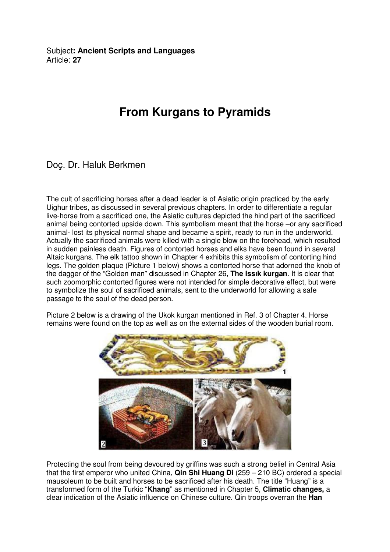Subject**: Ancient Scripts and Languages**  Article: **27**

## **From Kurgans to Pyramids**

## Doç. Dr. Haluk Berkmen

The cult of sacrificing horses after a dead leader is of Asiatic origin practiced by the early Uighur tribes, as discussed in several previous chapters. In order to differentiate a regular live-horse from a sacrificed one, the Asiatic cultures depicted the hind part of the sacrificed animal being contorted upside down. This symbolism meant that the horse –or any sacrificed animal- lost its physical normal shape and became a spirit, ready to run in the underworld. Actually the sacrificed animals were killed with a single blow on the forehead, which resulted in sudden painless death. Figures of contorted horses and elks have been found in several Altaic kurgans. The elk tattoo shown in Chapter 4 exhibits this symbolism of contorting hind legs. The golden plaque (Picture 1 below) shows a contorted horse that adorned the knob of the dagger of the "Golden man" discussed in Chapter 26, **The Issık kurgan**. It is clear that such zoomorphic contorted figures were not intended for simple decorative effect, but were to symbolize the soul of sacrificed animals, sent to the underworld for allowing a safe passage to the soul of the dead person.

Picture 2 below is a drawing of the Ukok kurgan mentioned in Ref. 3 of Chapter 4. Horse remains were found on the top as well as on the external sides of the wooden burial room.



Protecting the soul from being devoured by griffins was such a strong belief in Central Asia that the first emperor who united China, **Qin Shi Huang Di** (259 – 210 BC) ordered a special mausoleum to be built and horses to be sacrificed after his death. The title "Huang" is a transformed form of the Turkic "**Khang**" as mentioned in Chapter 5, **Climatic changes,** a clear indication of the Asiatic influence on Chinese culture. Qin troops overran the **Han**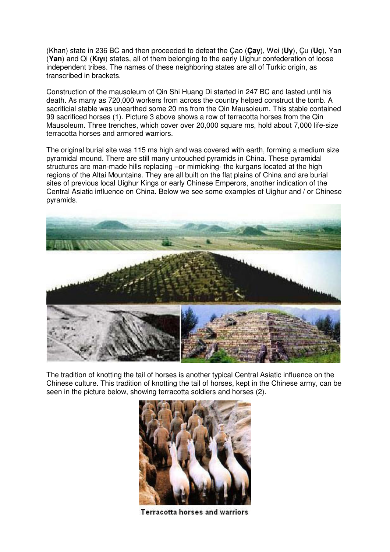(Khan) state in 236 BC and then proceeded to defeat the Çao (**Çay**), Wei (**Uy**), Çu (**Uç**), Yan (**Yan**) and Qi (**Kıyı**) states, all of them belonging to the early Uighur confederation of loose independent tribes. The names of these neighboring states are all of Turkic origin, as transcribed in brackets.

Construction of the mausoleum of Qin Shi Huang Di started in 247 BC and lasted until his death. As many as 720,000 workers from across the country helped construct the tomb. A sacrificial stable was unearthed some 20 ms from the Qin Mausoleum. This stable contained 99 sacrificed horses (1). Picture 3 above shows a row of terracotta horses from the Qin Mausoleum. Three trenches, which cover over 20,000 square ms, hold about 7,000 life-size terracotta horses and armored warriors.

The original burial site was 115 ms high and was covered with earth, forming a medium size pyramidal mound. There are still many untouched pyramids in China. These pyramidal structures are man-made hills replacing –or mimicking- the kurgans located at the high regions of the Altai Mountains. They are all built on the flat plains of China and are burial sites of previous local Uighur Kings or early Chinese Emperors, another indication of the Central Asiatic influence on China. Below we see some examples of Uighur and / or Chinese pyramids.



The tradition of knotting the tail of horses is another typical Central Asiatic influence on the Chinese culture. This tradition of knotting the tail of horses, kept in the Chinese army, can be seen in the picture below, showing terracotta soldiers and horses (2).



Terracotta horses and warriors